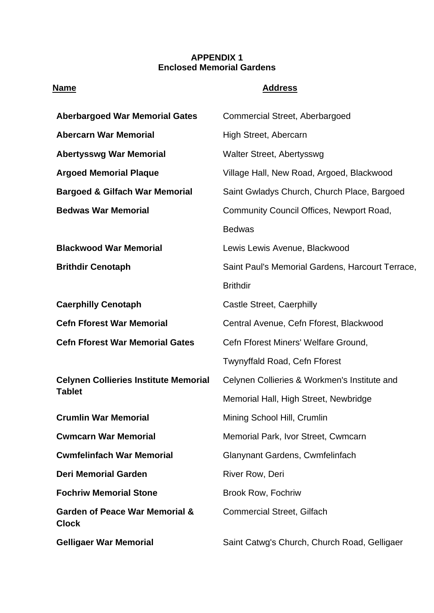## **APPENDIX 1 Enclosed Memorial Gardens**

## **Name Address**

| <b>Aberbargoed War Memorial Gates</b>                         | <b>Commercial Street, Aberbargoed</b>            |
|---------------------------------------------------------------|--------------------------------------------------|
| <b>Abercarn War Memorial</b>                                  | High Street, Abercarn                            |
| <b>Abertysswg War Memorial</b>                                | Walter Street, Abertysswg                        |
| <b>Argoed Memorial Plaque</b>                                 | Village Hall, New Road, Argoed, Blackwood        |
| <b>Bargoed &amp; Gilfach War Memorial</b>                     | Saint Gwladys Church, Church Place, Bargoed      |
| <b>Bedwas War Memorial</b>                                    | Community Council Offices, Newport Road,         |
|                                                               | <b>Bedwas</b>                                    |
| <b>Blackwood War Memorial</b>                                 | Lewis Lewis Avenue, Blackwood                    |
| <b>Brithdir Cenotaph</b>                                      | Saint Paul's Memorial Gardens, Harcourt Terrace, |
|                                                               | <b>Brithdir</b>                                  |
| <b>Caerphilly Cenotaph</b>                                    | Castle Street, Caerphilly                        |
| <b>Cefn Fforest War Memorial</b>                              | Central Avenue, Cefn Fforest, Blackwood          |
| <b>Cefn Fforest War Memorial Gates</b>                        | Cefn Fforest Miners' Welfare Ground,             |
|                                                               | Twynyffald Road, Cefn Fforest                    |
| <b>Celynen Collieries Institute Memorial</b><br><b>Tablet</b> | Celynen Collieries & Workmen's Institute and     |
|                                                               | Memorial Hall, High Street, Newbridge            |
| <b>Crumlin War Memorial</b>                                   | Mining School Hill, Crumlin                      |
| <b>Cwmcarn War Memorial</b>                                   | Memorial Park, Ivor Street, Cwmcarn              |
| <b>Cwmfelinfach War Memorial</b>                              | Glanynant Gardens, Cwmfelinfach                  |
| <b>Deri Memorial Garden</b>                                   | <b>River Row, Deri</b>                           |
| <b>Fochriw Memorial Stone</b>                                 | <b>Brook Row, Fochriw</b>                        |
| <b>Garden of Peace War Memorial &amp;</b><br><b>Clock</b>     | <b>Commercial Street, Gilfach</b>                |
| <b>Gelligaer War Memorial</b>                                 | Saint Catwg's Church, Church Road, Gelligaer     |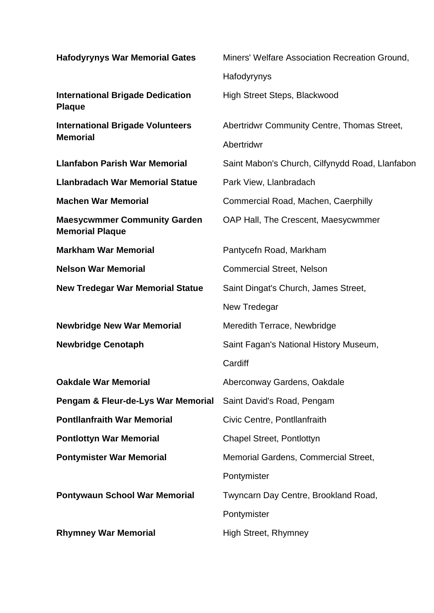| <b>Hafodyrynys War Memorial Gates</b>                         | Miners' Welfare Association Recreation Ground,  |
|---------------------------------------------------------------|-------------------------------------------------|
|                                                               | Hafodyrynys                                     |
| <b>International Brigade Dedication</b><br><b>Plaque</b>      | High Street Steps, Blackwood                    |
| <b>International Brigade Volunteers</b><br><b>Memorial</b>    | Abertridwr Community Centre, Thomas Street,     |
|                                                               | Abertridwr                                      |
| <b>Llanfabon Parish War Memorial</b>                          | Saint Mabon's Church, Cilfynydd Road, Llanfabon |
| <b>Llanbradach War Memorial Statue</b>                        | Park View, Llanbradach                          |
| <b>Machen War Memorial</b>                                    | Commercial Road, Machen, Caerphilly             |
| <b>Maesycwmmer Community Garden</b><br><b>Memorial Plaque</b> | OAP Hall, The Crescent, Maesycwmmer             |
| <b>Markham War Memorial</b>                                   | Pantycefn Road, Markham                         |
| <b>Nelson War Memorial</b>                                    | <b>Commercial Street, Nelson</b>                |
| <b>New Tredegar War Memorial Statue</b>                       | Saint Dingat's Church, James Street,            |
|                                                               | New Tredegar                                    |
| <b>Newbridge New War Memorial</b>                             | Meredith Terrace, Newbridge                     |
| <b>Newbridge Cenotaph</b>                                     | Saint Fagan's National History Museum,          |
|                                                               | Cardiff                                         |
| <b>Oakdale War Memorial</b>                                   | Aberconway Gardens, Oakdale                     |
| Pengam & Fleur-de-Lys War Memorial                            | Saint David's Road, Pengam                      |
| <b>Pontllanfraith War Memorial</b>                            | Civic Centre, Pontllanfraith                    |
| <b>Pontlottyn War Memorial</b>                                | Chapel Street, Pontlottyn                       |
| <b>Pontymister War Memorial</b>                               | Memorial Gardens, Commercial Street,            |
|                                                               | Pontymister                                     |
| <b>Pontywaun School War Memorial</b>                          | Twyncarn Day Centre, Brookland Road,            |
|                                                               | Pontymister                                     |
| <b>Rhymney War Memorial</b>                                   | <b>High Street, Rhymney</b>                     |